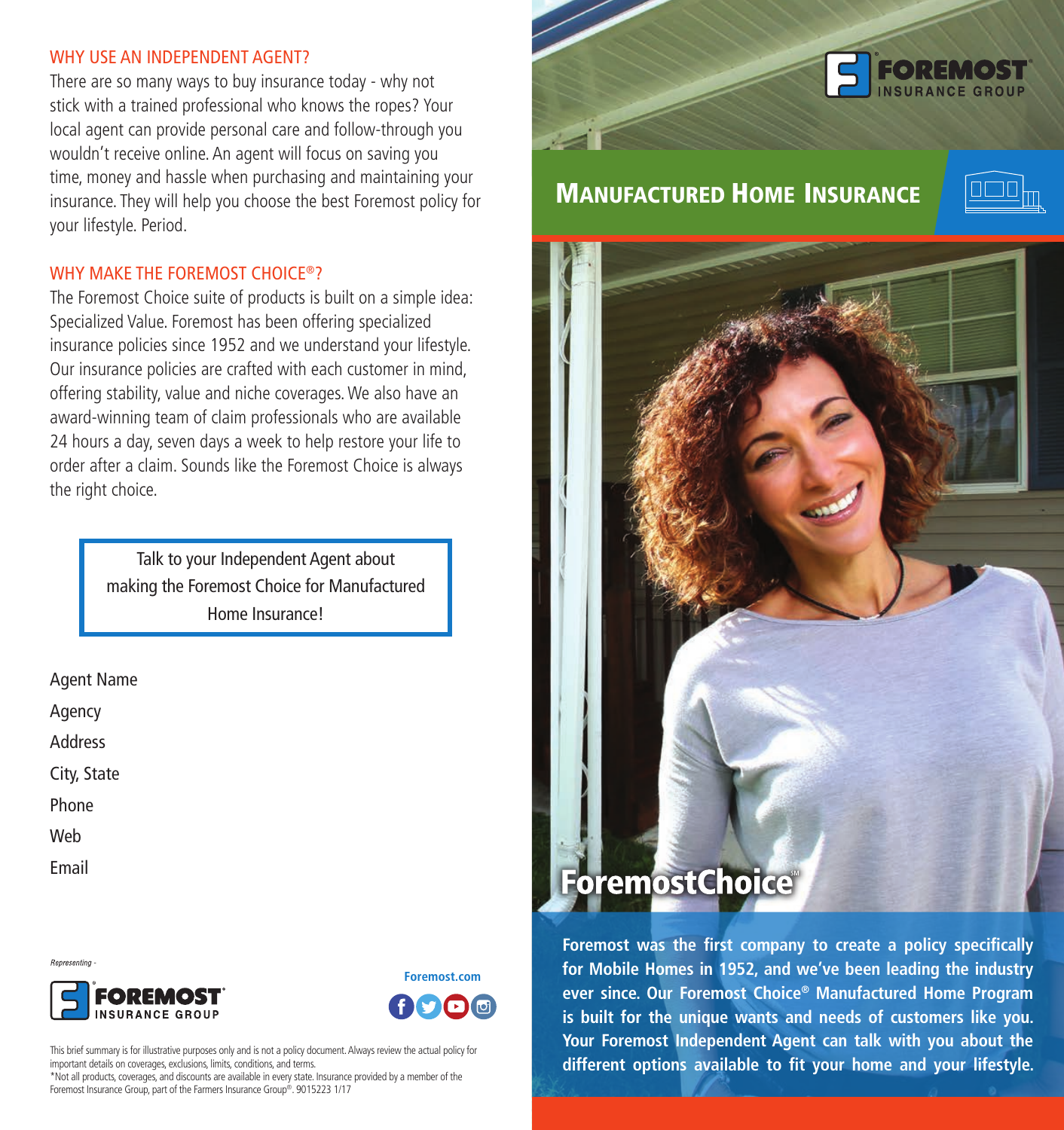#### WHY USE AN INDEPENDENT AGENT?

There are so many ways to buy insurance today - why not stick with a trained professional who knows the ropes? Your local agent can provide personal care and follow-through you wouldn't receive online. An agent will focus on saving you time, money and hassle when purchasing and maintaining your insurance. They will help you choose the best Foremost policy for your lifestyle. Period.

#### WHY MAKE THE FOREMOST CHOICE®?

The Foremost Choice suite of products is built on a simple idea: Specialized Value. Foremost has been offering specialized insurance policies since 1952 and we understand your lifestyle. Our insurance policies are crafted with each customer in mind, offering stability, value and niche coverages. We also have an award-winning team of claim professionals who are available 24 hours a day, seven days a week to help restore your life to order after a claim. Sounds like the Foremost Choice is always the right choice.

> Talk to your Independent Agent about making the Foremost Choice for Manufactured Home Insurance!

Agent Name Agency Address City, State Phone Web Email

Representing





This brief summary is for illustrative purposes only and is not a policy document. Always review the actual policy for important details on coverages, exclusions, limits, conditions, and terms.

\*Not all products, coverages, and discounts are available in every state. Insurance provided by a member of the Foremost Insurance Group, part of the Farmers Insurance Group®. 9015223 1/17



# MANUFACTURED HOME INSURANCE





**Foremost was the first company to create a policy specifically for Mobile Homes in 1952, and we've been leading the industry ever since. Our Foremost Choice® Manufactured Home Program is built for the unique wants and needs of customers like you. Your Foremost Independent Agent can talk with you about the different options available to fit your home and your lifestyle.**